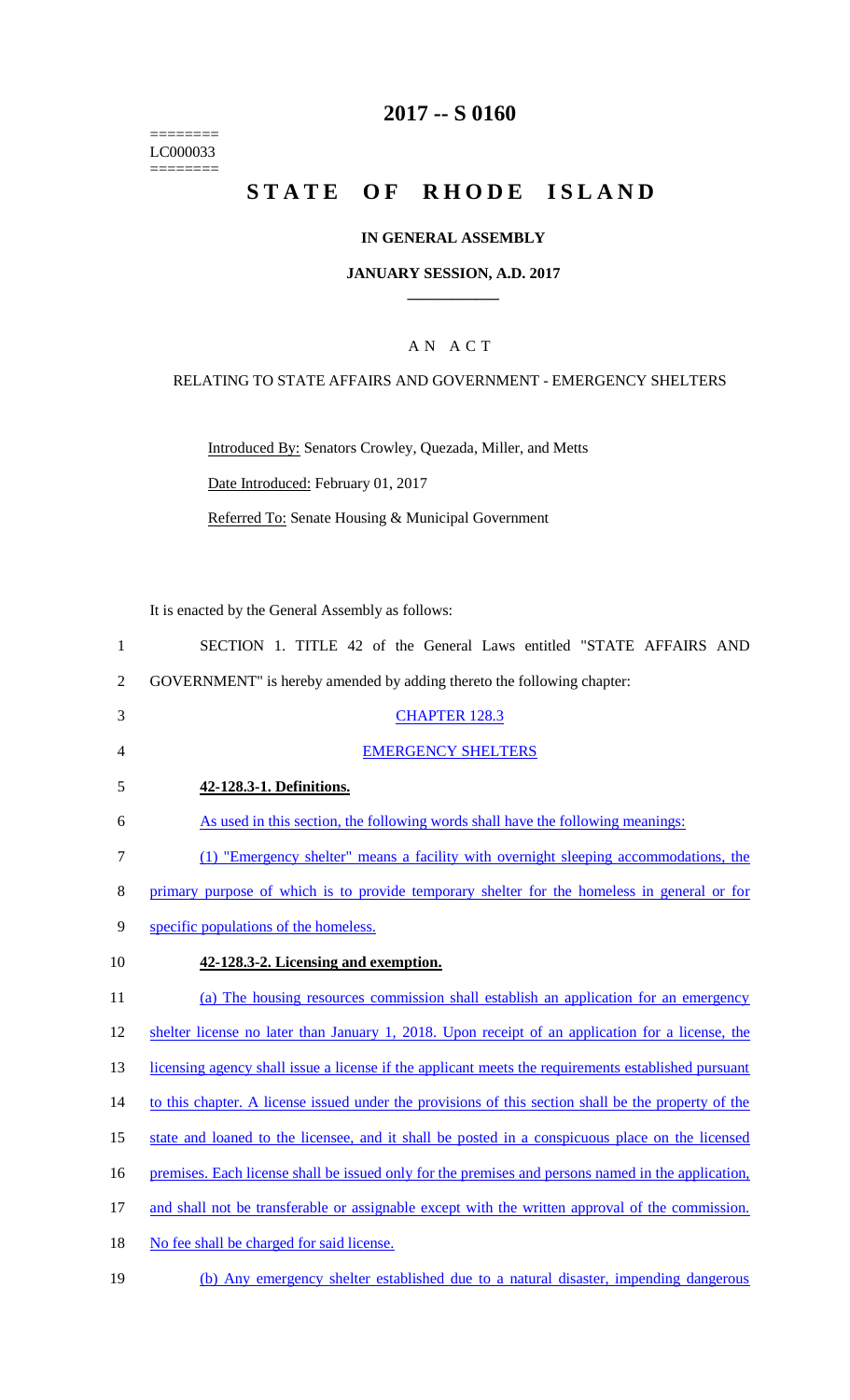======== LC000033  $=$ 

# **2017 -- S 0160**

# STATE OF RHODE ISLAND

### **IN GENERAL ASSEMBLY**

#### **JANUARY SESSION, A.D. 2017 \_\_\_\_\_\_\_\_\_\_\_\_**

### A N A C T

### RELATING TO STATE AFFAIRS AND GOVERNMENT - EMERGENCY SHELTERS

Introduced By: Senators Crowley, Quezada, Miller, and Metts

Date Introduced: February 01, 2017

Referred To: Senate Housing & Municipal Government

It is enacted by the General Assembly as follows:

| $\mathbf{1}$   | SECTION 1. TITLE 42 of the General Laws entitled "STATE AFFAIRS AND                                 |
|----------------|-----------------------------------------------------------------------------------------------------|
| $\overline{2}$ | GOVERNMENT" is hereby amended by adding thereto the following chapter:                              |
| 3              | <b>CHAPTER 128.3</b>                                                                                |
| 4              | <b>EMERGENCY SHELTERS</b>                                                                           |
| 5              | 42-128.3-1. Definitions.                                                                            |
| 6              | As used in this section, the following words shall have the following meanings:                     |
| $\tau$         | (1) "Emergency shelter" means a facility with overnight sleeping accommodations, the                |
| 8              | primary purpose of which is to provide temporary shelter for the homeless in general or for         |
| 9              | specific populations of the homeless.                                                               |
| 10             | 42-128.3-2. Licensing and exemption.                                                                |
| 11             | (a) The housing resources commission shall establish an application for an emergency                |
| 12             | shelter license no later than January 1, 2018. Upon receipt of an application for a license, the    |
| 13             | licensing agency shall issue a license if the applicant meets the requirements established pursuant |
| 14             | to this chapter. A license issued under the provisions of this section shall be the property of the |
| 15             | state and loaned to the licensee, and it shall be posted in a conspicuous place on the licensed     |
| 16             | premises. Each license shall be issued only for the premises and persons named in the application,  |
| 17             | and shall not be transferable or assignable except with the written approval of the commission.     |
| 18             | No fee shall be charged for said license.                                                           |
| 19             | (b) Any emergency shelter established due to a natural disaster, impending dangerous                |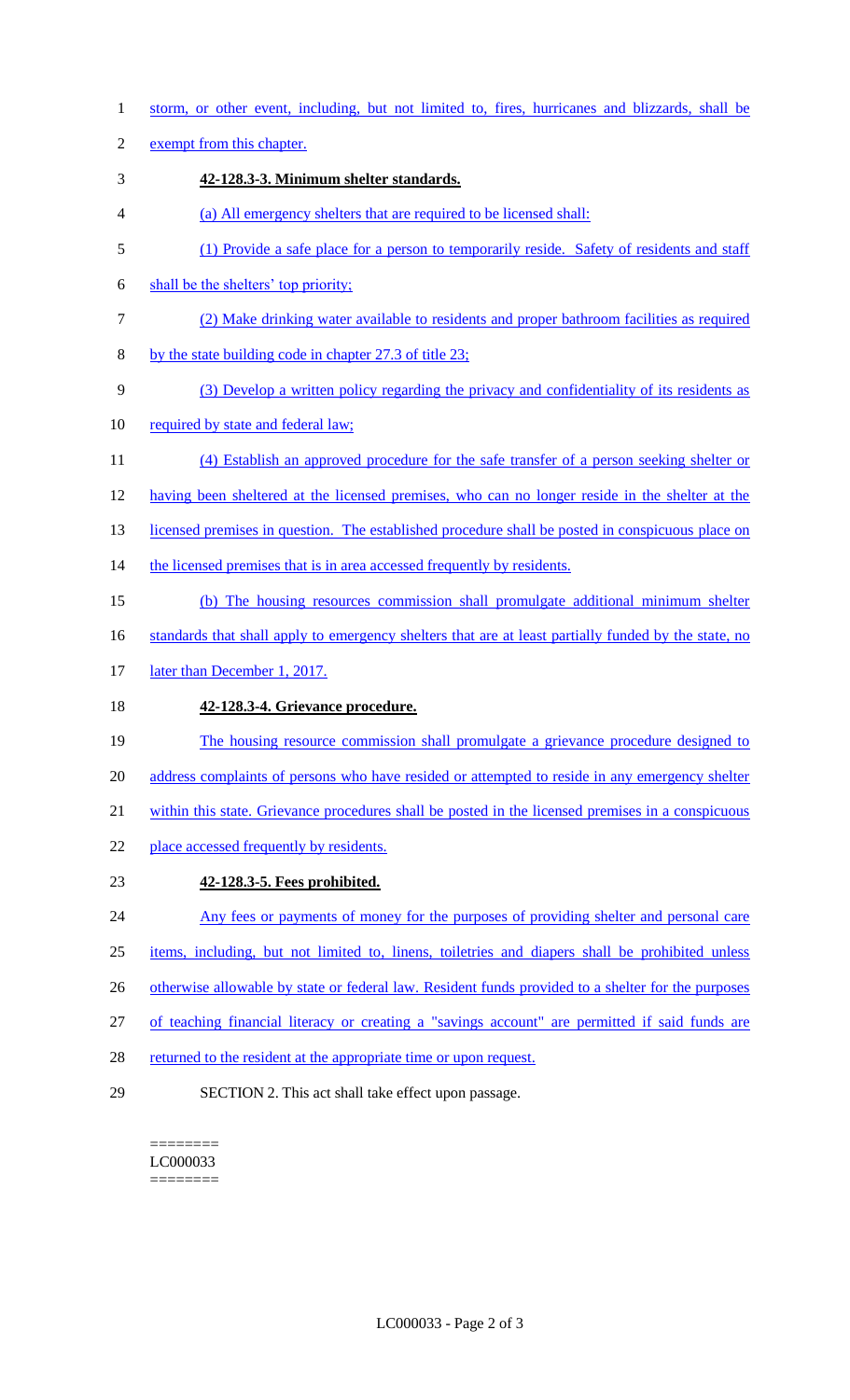1 storm, or other event, including, but not limited to, fires, hurricanes and blizzards, shall be

2 exempt from this chapter.

- 3 **42-128.3-3. Minimum shelter standards.**
- 4 (a) All emergency shelters that are required to be licensed shall:
- 5 (1) Provide a safe place for a person to temporarily reside. Safety of residents and staff
- 6 shall be the shelters' top priority;
- 7 (2) Make drinking water available to residents and proper bathroom facilities as required
- 8 by the state building code in chapter 27.3 of title 23;
- 9 (3) Develop a written policy regarding the privacy and confidentiality of its residents as
- 10 required by state and federal law;
- 11 (4) Establish an approved procedure for the safe transfer of a person seeking shelter or 12 having been sheltered at the licensed premises, who can no longer reside in the shelter at the
- 13 licensed premises in question. The established procedure shall be posted in conspicuous place on
- 14 the licensed premises that is in area accessed frequently by residents.
- 15 (b) The housing resources commission shall promulgate additional minimum shelter
- 16 standards that shall apply to emergency shelters that are at least partially funded by the state, no
- 17 later than December 1, 2017.

## 18 **42-128.3-4. Grievance procedure.**

- 19 The housing resource commission shall promulgate a grievance procedure designed to 20 address complaints of persons who have resided or attempted to reside in any emergency shelter
- 21 within this state. Grievance procedures shall be posted in the licensed premises in a conspicuous
- 22 place accessed frequently by residents.
- 23 **42-128.3-5. Fees prohibited.**
- 24 Any fees or payments of money for the purposes of providing shelter and personal care
- 25 items, including, but not limited to, linens, toiletries and diapers shall be prohibited unless
- 26 otherwise allowable by state or federal law. Resident funds provided to a shelter for the purposes
- 27 of teaching financial literacy or creating a "savings account" are permitted if said funds are
- 28 returned to the resident at the appropriate time or upon request.
- 29 SECTION 2. This act shall take effect upon passage.

======== LC000033 ========